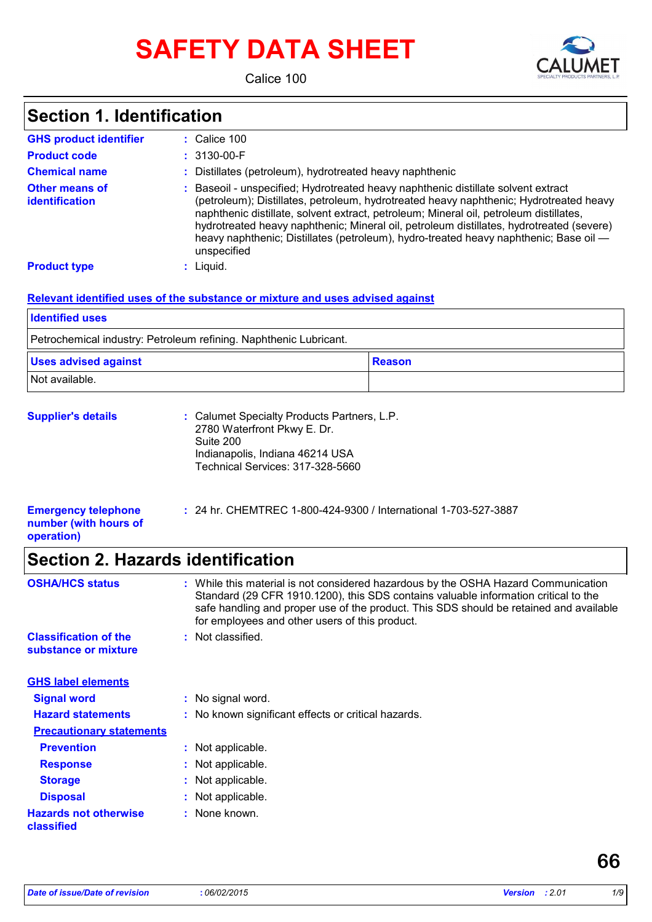# **SAFETY DATA SHEET**



Calice 100

### **Section 1. Identification**

| <b>GHS product identifier</b>           | $\therefore$ Calice 100                                                                                                                                                                                                                                                                                                                                                                                                                                                 |
|-----------------------------------------|-------------------------------------------------------------------------------------------------------------------------------------------------------------------------------------------------------------------------------------------------------------------------------------------------------------------------------------------------------------------------------------------------------------------------------------------------------------------------|
| <b>Product code</b>                     | $: 3130 - 00 - F$                                                                                                                                                                                                                                                                                                                                                                                                                                                       |
| <b>Chemical name</b>                    | Distillates (petroleum), hydrotreated heavy naphthenic                                                                                                                                                                                                                                                                                                                                                                                                                  |
| <b>Other means of</b><br>identification | Baseoil - unspecified; Hydrotreated heavy naphthenic distillate solvent extract<br>(petroleum); Distillates, petroleum, hydrotreated heavy naphthenic; Hydrotreated heavy<br>naphthenic distillate, solvent extract, petroleum; Mineral oil, petroleum distillates,<br>hydrotreated heavy naphthenic; Mineral oil, petroleum distillates, hydrotreated (severe)<br>heavy naphthenic; Distillates (petroleum), hydro-treated heavy naphthenic; Base oil —<br>unspecified |
| <b>Product type</b>                     | $:$ Liquid.                                                                                                                                                                                                                                                                                                                                                                                                                                                             |

#### **Relevant identified uses of the substance or mixture and uses advised against**

| <b>Identified uses</b>                                            |               |
|-------------------------------------------------------------------|---------------|
| Petrochemical industry: Petroleum refining. Naphthenic Lubricant. |               |
| <b>Uses advised against</b>                                       | <b>Reason</b> |
| Not available.                                                    |               |

| <b>Supplier's details</b> | : Calumet Specialty Products Partners, L.P.<br>2780 Waterfront Pkwy E. Dr.<br>Suite 200 |
|---------------------------|-----------------------------------------------------------------------------------------|
|                           | Indianapolis, Indiana 46214 USA<br>Technical Services: 317-328-5660                     |

| <b>Emergency telephone</b> | : 24 hr. CHEMTREC 1-800-424-9300 / International 1-703-527-3887 |
|----------------------------|-----------------------------------------------------------------|
| number (with hours of      |                                                                 |
| operation)                 |                                                                 |

### **Section 2. Hazards identification**

| <b>OSHA/HCS status</b>                               |    | : While this material is not considered hazardous by the OSHA Hazard Communication<br>Standard (29 CFR 1910.1200), this SDS contains valuable information critical to the<br>safe handling and proper use of the product. This SDS should be retained and available<br>for employees and other users of this product. |
|------------------------------------------------------|----|-----------------------------------------------------------------------------------------------------------------------------------------------------------------------------------------------------------------------------------------------------------------------------------------------------------------------|
| <b>Classification of the</b><br>substance or mixture |    | : Not classified.                                                                                                                                                                                                                                                                                                     |
| <b>GHS label elements</b>                            |    |                                                                                                                                                                                                                                                                                                                       |
| <b>Signal word</b>                                   |    | : No signal word.                                                                                                                                                                                                                                                                                                     |
| <b>Hazard statements</b>                             |    | : No known significant effects or critical hazards.                                                                                                                                                                                                                                                                   |
| <b>Precautionary statements</b>                      |    |                                                                                                                                                                                                                                                                                                                       |
| <b>Prevention</b>                                    |    | : Not applicable.                                                                                                                                                                                                                                                                                                     |
| <b>Response</b>                                      |    | : Not applicable.                                                                                                                                                                                                                                                                                                     |
| <b>Storage</b>                                       |    | Not applicable.                                                                                                                                                                                                                                                                                                       |
| <b>Disposal</b>                                      | ÷. | Not applicable.                                                                                                                                                                                                                                                                                                       |
| <b>Hazards not otherwise</b><br>classified           |    | : None known.                                                                                                                                                                                                                                                                                                         |

**66**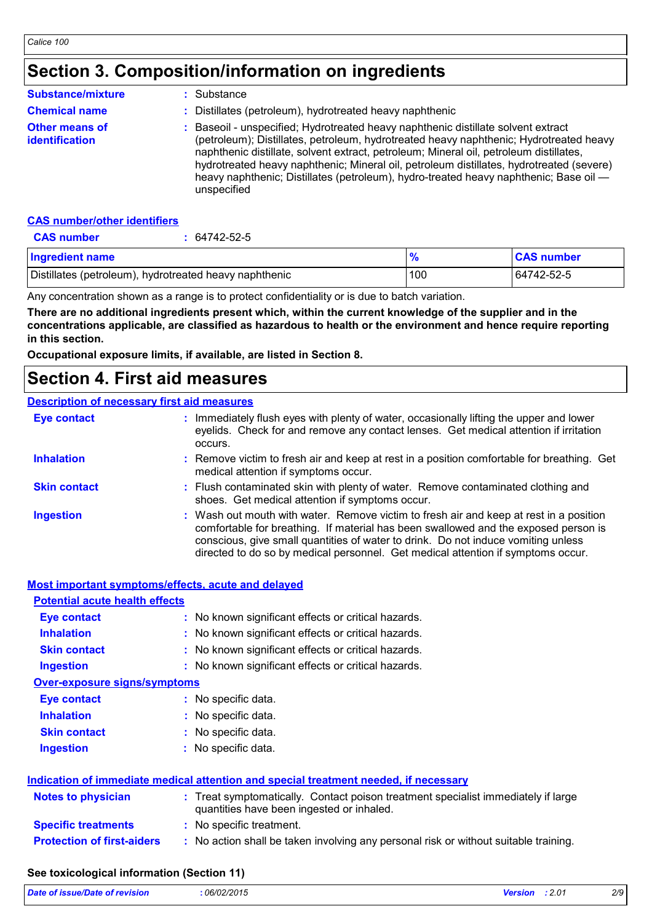### **Section 3. Composition/information on ingredients**

| <b>Substance/mixture</b>                | Substance                                                                                                                                                                                                                                                                                                                                                                                                                                                               |
|-----------------------------------------|-------------------------------------------------------------------------------------------------------------------------------------------------------------------------------------------------------------------------------------------------------------------------------------------------------------------------------------------------------------------------------------------------------------------------------------------------------------------------|
| <b>Chemical name</b>                    | Distillates (petroleum), hydrotreated heavy naphthenic                                                                                                                                                                                                                                                                                                                                                                                                                  |
| <b>Other means of</b><br>identification | Baseoil - unspecified; Hydrotreated heavy naphthenic distillate solvent extract<br>(petroleum); Distillates, petroleum, hydrotreated heavy naphthenic; Hydrotreated heavy<br>naphthenic distillate, solvent extract, petroleum; Mineral oil, petroleum distillates,<br>hydrotreated heavy naphthenic; Mineral oil, petroleum distillates, hydrotreated (severe)<br>heavy naphthenic; Distillates (petroleum), hydro-treated heavy naphthenic; Base oil —<br>unspecified |

#### **CAS number/other identifiers**

| <b>CAS number</b>                                      | 64742-52-5 |               |                   |
|--------------------------------------------------------|------------|---------------|-------------------|
| <b>Ingredient name</b>                                 |            | $\frac{9}{6}$ | <b>CAS number</b> |
| Distillates (petroleum), hydrotreated heavy naphthenic |            | 100           | 64742-52-5        |

Any concentration shown as a range is to protect confidentiality or is due to batch variation.

**There are no additional ingredients present which, within the current knowledge of the supplier and in the concentrations applicable, are classified as hazardous to health or the environment and hence require reporting in this section.**

**Occupational exposure limits, if available, are listed in Section 8.**

### **Section 4. First aid measures**

#### **Description of necessary first aid measures**

| <b>Eye contact</b>  | : Immediately flush eyes with plenty of water, occasionally lifting the upper and lower<br>eyelids. Check for and remove any contact lenses. Get medical attention if irritation<br>occurs.                                                                                                                                                            |
|---------------------|--------------------------------------------------------------------------------------------------------------------------------------------------------------------------------------------------------------------------------------------------------------------------------------------------------------------------------------------------------|
| <b>Inhalation</b>   | : Remove victim to fresh air and keep at rest in a position comfortable for breathing. Get<br>medical attention if symptoms occur.                                                                                                                                                                                                                     |
| <b>Skin contact</b> | : Flush contaminated skin with plenty of water. Remove contaminated clothing and<br>shoes. Get medical attention if symptoms occur.                                                                                                                                                                                                                    |
| <b>Ingestion</b>    | : Wash out mouth with water. Remove victim to fresh air and keep at rest in a position<br>comfortable for breathing. If material has been swallowed and the exposed person is<br>conscious, give small quantities of water to drink. Do not induce vomiting unless<br>directed to do so by medical personnel. Get medical attention if symptoms occur. |

| <b>Most important symptoms/effects, acute and delayed</b> |                                                                                                                                |
|-----------------------------------------------------------|--------------------------------------------------------------------------------------------------------------------------------|
| <b>Potential acute health effects</b>                     |                                                                                                                                |
| <b>Eye contact</b>                                        | : No known significant effects or critical hazards.                                                                            |
| <b>Inhalation</b>                                         | : No known significant effects or critical hazards.                                                                            |
| <b>Skin contact</b>                                       | : No known significant effects or critical hazards.                                                                            |
| <b>Ingestion</b>                                          | : No known significant effects or critical hazards.                                                                            |
| <b>Over-exposure signs/symptoms</b>                       |                                                                                                                                |
| <b>Eye contact</b>                                        | : No specific data.                                                                                                            |
| <b>Inhalation</b>                                         | : No specific data.                                                                                                            |
| <b>Skin contact</b>                                       | : No specific data.                                                                                                            |
| <b>Ingestion</b>                                          | : No specific data.                                                                                                            |
|                                                           | Indication of immediate medical attention and special treatment needed, if necessary                                           |
| Notes to physician                                        | : Treat symptomatically. Contact poison treatment specialist immediately if large<br>quantities have been ingested or inhaled. |
| <b>Specific treatments</b>                                | : No specific treatment.                                                                                                       |
| <b>Protection of first-aiders</b>                         | : No action shall be taken involving any personal risk or without suitable training.                                           |
|                                                           |                                                                                                                                |

#### **See toxicological information (Section 11)**

| Date of issue/Date of revision | 06/02/2015 | <b>Version</b> : 2.01 | 2/9 |
|--------------------------------|------------|-----------------------|-----|
|                                |            |                       |     |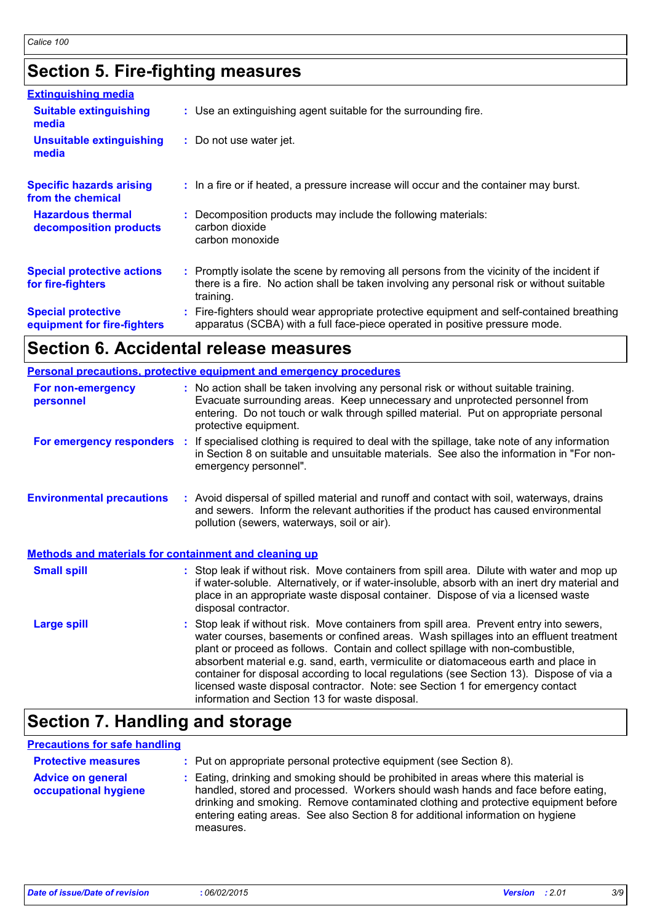## **Section 5. Fire-fighting measures**

| <b>Extinguishing media</b>                               |                                                                                                                                                                                                     |
|----------------------------------------------------------|-----------------------------------------------------------------------------------------------------------------------------------------------------------------------------------------------------|
| <b>Suitable extinguishing</b><br>media                   | : Use an extinguishing agent suitable for the surrounding fire.                                                                                                                                     |
| <b>Unsuitable extinguishing</b><br>media                 | : Do not use water jet.                                                                                                                                                                             |
| <b>Specific hazards arising</b><br>from the chemical     | : In a fire or if heated, a pressure increase will occur and the container may burst.                                                                                                               |
| <b>Hazardous thermal</b><br>decomposition products       | Decomposition products may include the following materials:<br>carbon dioxide<br>carbon monoxide                                                                                                    |
| <b>Special protective actions</b><br>for fire-fighters   | : Promptly isolate the scene by removing all persons from the vicinity of the incident if<br>there is a fire. No action shall be taken involving any personal risk or without suitable<br>training. |
| <b>Special protective</b><br>equipment for fire-fighters | : Fire-fighters should wear appropriate protective equipment and self-contained breathing<br>apparatus (SCBA) with a full face-piece operated in positive pressure mode.                            |

### **Section 6. Accidental release measures**

|                                                              | <b>Personal precautions, protective equipment and emergency procedures</b>                                                                                                                                                                                                                                                                                                                                                                                                                                                                                                                 |  |
|--------------------------------------------------------------|--------------------------------------------------------------------------------------------------------------------------------------------------------------------------------------------------------------------------------------------------------------------------------------------------------------------------------------------------------------------------------------------------------------------------------------------------------------------------------------------------------------------------------------------------------------------------------------------|--|
| For non-emergency<br>personnel                               | : No action shall be taken involving any personal risk or without suitable training.<br>Evacuate surrounding areas. Keep unnecessary and unprotected personnel from<br>entering. Do not touch or walk through spilled material. Put on appropriate personal<br>protective equipment.                                                                                                                                                                                                                                                                                                       |  |
| For emergency responders :                                   | If specialised clothing is required to deal with the spillage, take note of any information<br>in Section 8 on suitable and unsuitable materials. See also the information in "For non-<br>emergency personnel".                                                                                                                                                                                                                                                                                                                                                                           |  |
| <b>Environmental precautions</b>                             | : Avoid dispersal of spilled material and runoff and contact with soil, waterways, drains<br>and sewers. Inform the relevant authorities if the product has caused environmental<br>pollution (sewers, waterways, soil or air).                                                                                                                                                                                                                                                                                                                                                            |  |
| <b>Methods and materials for containment and cleaning up</b> |                                                                                                                                                                                                                                                                                                                                                                                                                                                                                                                                                                                            |  |
| <b>Small spill</b>                                           | : Stop leak if without risk. Move containers from spill area. Dilute with water and mop up<br>if water-soluble. Alternatively, or if water-insoluble, absorb with an inert dry material and<br>place in an appropriate waste disposal container. Dispose of via a licensed waste<br>disposal contractor.                                                                                                                                                                                                                                                                                   |  |
| <b>Large spill</b>                                           | : Stop leak if without risk. Move containers from spill area. Prevent entry into sewers,<br>water courses, basements or confined areas. Wash spillages into an effluent treatment<br>plant or proceed as follows. Contain and collect spillage with non-combustible,<br>absorbent material e.g. sand, earth, vermiculite or diatomaceous earth and place in<br>container for disposal according to local regulations (see Section 13). Dispose of via a<br>licensed waste disposal contractor. Note: see Section 1 for emergency contact<br>information and Section 13 for waste disposal. |  |

## **Section 7. Handling and storage**

#### **Precautions for safe handling**

| <b>Protective measures</b><br><b>Advice on general</b><br>occupational hygiene | : Put on appropriate personal protective equipment (see Section 8).<br>: Eating, drinking and smoking should be prohibited in areas where this material is<br>handled, stored and processed. Workers should wash hands and face before eating,<br>drinking and smoking. Remove contaminated clothing and protective equipment before<br>entering eating areas. See also Section 8 for additional information on hygiene<br>measures. |
|--------------------------------------------------------------------------------|--------------------------------------------------------------------------------------------------------------------------------------------------------------------------------------------------------------------------------------------------------------------------------------------------------------------------------------------------------------------------------------------------------------------------------------|
|--------------------------------------------------------------------------------|--------------------------------------------------------------------------------------------------------------------------------------------------------------------------------------------------------------------------------------------------------------------------------------------------------------------------------------------------------------------------------------------------------------------------------------|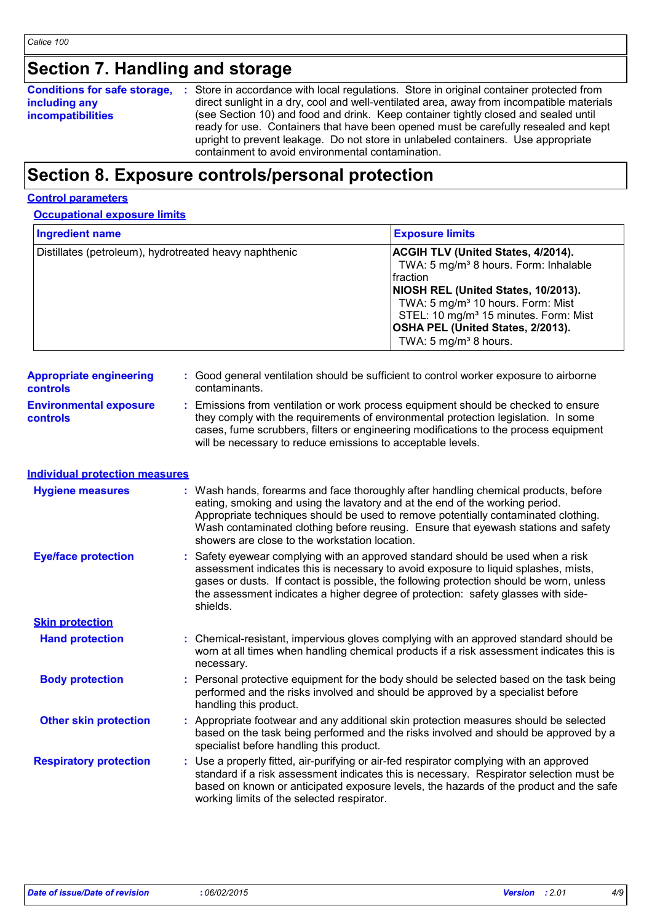### **Section 7. Handling and storage**

#### **Conditions for safe storage,** : Store in accordance with local regulations. Store in original container protected from **including any incompatibilities** direct sunlight in a dry, cool and well-ventilated area, away from incompatible materials (see Section 10) and food and drink. Keep container tightly closed and sealed until ready for use. Containers that have been opened must be carefully resealed and kept upright to prevent leakage. Do not store in unlabeled containers. Use appropriate containment to avoid environmental contamination.

### **Section 8. Exposure controls/personal protection**

#### **Control parameters**

#### **Occupational exposure limits**

| <b>Ingredient name</b>                                 | <b>Exposure limits</b>                                                                                                                                                                                                                                                                                                            |
|--------------------------------------------------------|-----------------------------------------------------------------------------------------------------------------------------------------------------------------------------------------------------------------------------------------------------------------------------------------------------------------------------------|
| Distillates (petroleum), hydrotreated heavy naphthenic | <b>ACGIH TLV (United States, 4/2014).</b><br>TWA: 5 mg/m <sup>3</sup> 8 hours. Form: Inhalable<br>fraction<br>NIOSH REL (United States, 10/2013).<br>TWA: 5 mg/m <sup>3</sup> 10 hours. Form: Mist<br>STEL: 10 mg/m <sup>3</sup> 15 minutes. Form: Mist<br>OSHA PEL (United States, 2/2013).<br>TWA: 5 mg/m <sup>3</sup> 8 hours. |

| <b>Appropriate engineering</b>                   | : Good general ventilation should be sufficient to control worker exposure to airborne                                                                                                                                                                                                                                          |
|--------------------------------------------------|---------------------------------------------------------------------------------------------------------------------------------------------------------------------------------------------------------------------------------------------------------------------------------------------------------------------------------|
| <b>controls</b>                                  | contaminants.                                                                                                                                                                                                                                                                                                                   |
| <b>Environmental exposure</b><br><b>controls</b> | : Emissions from ventilation or work process equipment should be checked to ensure<br>they comply with the requirements of environmental protection legislation. In some<br>cases, fume scrubbers, filters or engineering modifications to the process equipment<br>will be necessary to reduce emissions to acceptable levels. |

### **Individual protection measures**

| <b>Hygiene measures</b>       | : Wash hands, forearms and face thoroughly after handling chemical products, before<br>eating, smoking and using the lavatory and at the end of the working period.<br>Appropriate techniques should be used to remove potentially contaminated clothing.<br>Wash contaminated clothing before reusing. Ensure that eyewash stations and safety<br>showers are close to the workstation location. |
|-------------------------------|---------------------------------------------------------------------------------------------------------------------------------------------------------------------------------------------------------------------------------------------------------------------------------------------------------------------------------------------------------------------------------------------------|
| <b>Eye/face protection</b>    | : Safety eyewear complying with an approved standard should be used when a risk<br>assessment indicates this is necessary to avoid exposure to liquid splashes, mists,<br>gases or dusts. If contact is possible, the following protection should be worn, unless<br>the assessment indicates a higher degree of protection: safety glasses with side-<br>shields.                                |
| <b>Skin protection</b>        |                                                                                                                                                                                                                                                                                                                                                                                                   |
| <b>Hand protection</b>        | : Chemical-resistant, impervious gloves complying with an approved standard should be<br>worn at all times when handling chemical products if a risk assessment indicates this is<br>necessary.                                                                                                                                                                                                   |
| <b>Body protection</b>        | : Personal protective equipment for the body should be selected based on the task being<br>performed and the risks involved and should be approved by a specialist before<br>handling this product.                                                                                                                                                                                               |
| <b>Other skin protection</b>  | : Appropriate footwear and any additional skin protection measures should be selected<br>based on the task being performed and the risks involved and should be approved by a<br>specialist before handling this product.                                                                                                                                                                         |
| <b>Respiratory protection</b> | : Use a properly fitted, air-purifying or air-fed respirator complying with an approved<br>standard if a risk assessment indicates this is necessary. Respirator selection must be<br>based on known or anticipated exposure levels, the hazards of the product and the safe<br>working limits of the selected respirator.                                                                        |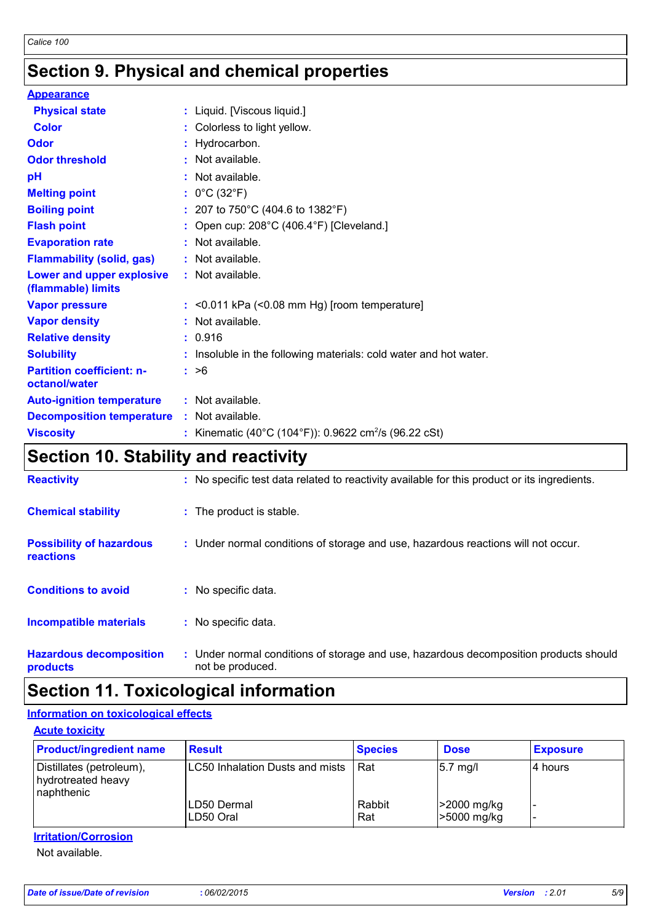### **Section 9. Physical and chemical properties**

| <b>Appearance</b>                                 |                                                                   |
|---------------------------------------------------|-------------------------------------------------------------------|
| <b>Physical state</b>                             | : Liquid. [Viscous liquid.]                                       |
| <b>Color</b>                                      | : Colorless to light yellow.                                      |
| Odor                                              | : Hydrocarbon.                                                    |
| <b>Odor threshold</b>                             | : Not available.                                                  |
| pH                                                | : Not available.                                                  |
| <b>Melting point</b>                              | : $0^{\circ}$ C (32 $^{\circ}$ F)                                 |
| <b>Boiling point</b>                              | : 207 to 750°C (404.6 to 1382°F)                                  |
| <b>Flash point</b>                                | : Open cup: 208°C (406.4°F) [Cleveland.]                          |
| <b>Evaporation rate</b>                           | $:$ Not available.                                                |
| <b>Flammability (solid, gas)</b>                  | : Not available.                                                  |
| Lower and upper explosive<br>(flammable) limits   | : Not available.                                                  |
| <b>Vapor pressure</b>                             | $:$ <0.011 kPa (<0.08 mm Hg) [room temperature]                   |
| <b>Vapor density</b>                              | : Not available.                                                  |
| <b>Relative density</b>                           | : 0.916                                                           |
| <b>Solubility</b>                                 | : Insoluble in the following materials: cold water and hot water. |
| <b>Partition coefficient: n-</b><br>octanol/water | : >6                                                              |
| <b>Auto-ignition temperature</b>                  | : Not available.                                                  |
| <b>Decomposition temperature</b>                  | : Not available.                                                  |
| <b>Viscosity</b>                                  | : Kinematic (40°C (104°F)): 0.9622 cm <sup>2</sup> /s (96.22 cSt) |

### **Section 10. Stability and reactivity**

| <b>Reactivity</b>                            | : No specific test data related to reactivity available for this product or its ingredients.              |
|----------------------------------------------|-----------------------------------------------------------------------------------------------------------|
| <b>Chemical stability</b>                    | : The product is stable.                                                                                  |
| <b>Possibility of hazardous</b><br>reactions | : Under normal conditions of storage and use, hazardous reactions will not occur.                         |
| <b>Conditions to avoid</b>                   | : No specific data.                                                                                       |
| <b>Incompatible materials</b>                | : No specific data.                                                                                       |
| <b>Hazardous decomposition</b><br>products   | : Under normal conditions of storage and use, hazardous decomposition products should<br>not be produced. |

### **Section 11. Toxicological information**

#### **Information on toxicological effects**

**Acute toxicity**

| <b>Product/ingredient name</b>                               | <b>Result</b>                   | <b>Species</b> | <b>Dose</b>                | <b>Exposure</b> |
|--------------------------------------------------------------|---------------------------------|----------------|----------------------------|-----------------|
| Distillates (petroleum),<br>hydrotreated heavy<br>naphthenic | LC50 Inhalation Dusts and mists | Rat            | $5.7$ mg/l                 | 14 hours        |
|                                                              | ∣LD50 Dermal<br>LD50 Oral       | Rabbit<br>Rat  | >2000 mg/kg<br>-5000 mg/kg |                 |

#### **Irritation/Corrosion**

Not available.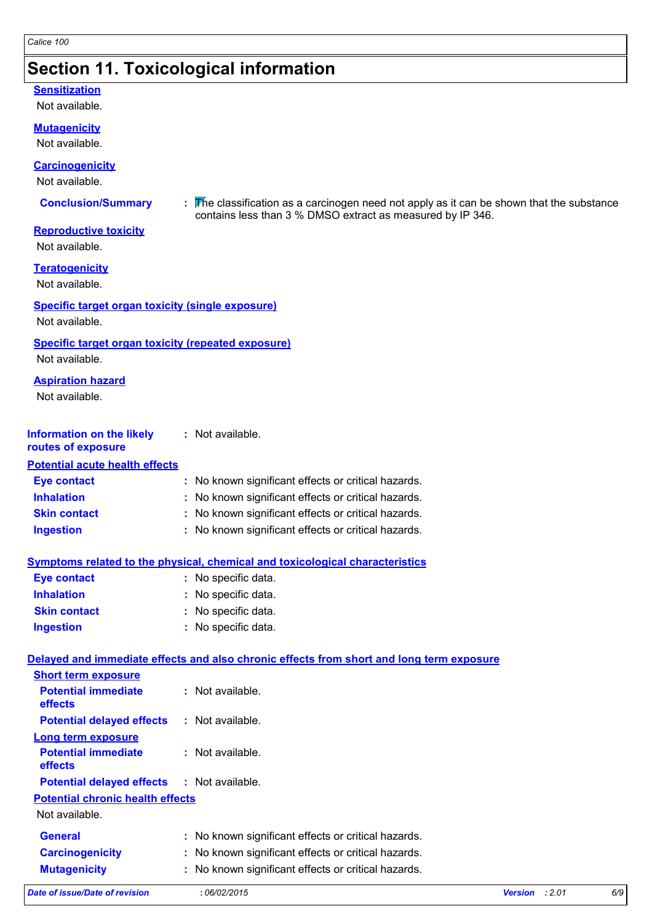### **Section 11. Toxicological information**

#### **Sensitization**

Not available.

#### **Mutagenicity**

Not available.

#### **Carcinogenicity**

Not available.

**Conclusion/Summary :** The classification as a carcinogen need not apply as it can be shown that the substance contains less than 3 % DMSO extract as measured by IP 346.

#### **Reproductive toxicity**

Not available.

**Teratogenicity**

Not available.

### **Specific target organ toxicity (single exposure)**

Not available.

#### **Specific target organ toxicity (repeated exposure)**

Not available.

#### **Aspiration hazard**

Not available.

#### **Information on the likely routes of exposure :** Not available.

### **Potential acute health effects**

| Eye contact         | : No known significant effects or critical hazards. |
|---------------------|-----------------------------------------------------|
| <b>Inhalation</b>   | : No known significant effects or critical hazards. |
| <b>Skin contact</b> | : No known significant effects or critical hazards. |
| <b>Ingestion</b>    | : No known significant effects or critical hazards. |

#### **Symptoms related to the physical, chemical and toxicological characteristics**

| <b>Eye contact</b>  | : No specific data. |  |
|---------------------|---------------------|--|
| <b>Inhalation</b>   | : No specific data. |  |
| <b>Skin contact</b> | : No specific data. |  |
| <b>Ingestion</b>    | : No specific data. |  |

#### **Delayed and immediate effects and also chronic effects from short and long term exposure**

| Date of issue/Date of revision               | :06/02/2015                                         | :2.01<br><b>Version</b> | 6/9 |
|----------------------------------------------|-----------------------------------------------------|-------------------------|-----|
| <b>Mutagenicity</b>                          | : No known significant effects or critical hazards. |                         |     |
| <b>Carcinogenicity</b>                       | : No known significant effects or critical hazards. |                         |     |
| <b>General</b>                               | : No known significant effects or critical hazards. |                         |     |
| Not available.                               |                                                     |                         |     |
| <b>Potential chronic health effects</b>      |                                                     |                         |     |
| <b>Potential delayed effects</b>             | : Not available.                                    |                         |     |
| <b>Potential immediate</b><br><b>effects</b> | $:$ Not available.                                  |                         |     |
| <b>Long term exposure</b>                    |                                                     |                         |     |
| <b>Potential delayed effects</b>             | $:$ Not available.                                  |                         |     |
| <b>Potential immediate</b><br>effects        | $:$ Not available.                                  |                         |     |
| <b>Short term exposure</b>                   |                                                     |                         |     |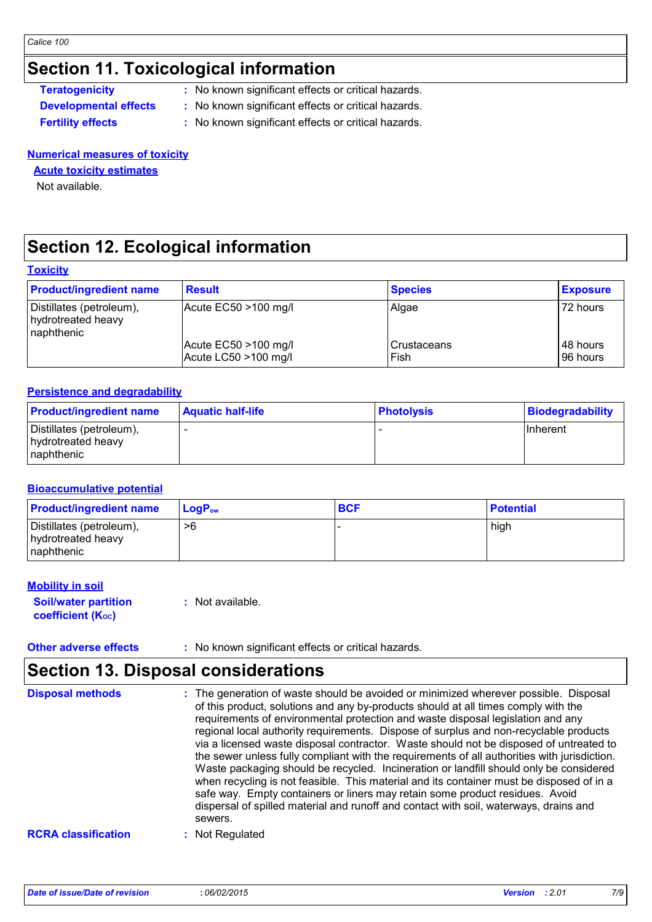### **Section 11. Toxicological information**

**Teratogenicity** : No known significant effects or critical hazards.

- **Developmental effects :** No known significant effects or critical hazards.
- **Fertility effects :** No known significant effects or critical hazards.

#### **Numerical measures of toxicity**

#### **Acute toxicity estimates**

Not available.

### **Section 12. Ecological information**

#### **Toxicity**

| <b>Product/ingredient name</b>                               | <b>Result</b>                                     | <b>Species</b>        | <b>Exposure</b>      |
|--------------------------------------------------------------|---------------------------------------------------|-----------------------|----------------------|
| Distillates (petroleum),<br>hydrotreated heavy<br>naphthenic | $ $ Acute EC50 >100 mg/l                          | Algae                 | 72 hours             |
|                                                              | Acute $EC50 > 100$ mg/l<br>Acute LC50 $>100$ mg/l | l Crustaceans<br>Fish | 48 hours<br>96 hours |

#### **Persistence and degradability**

| <b>Product/ingredient name</b>                                | <b>Aquatic half-life</b> | <b>Photolysis</b> | <b>Biodegradability</b> |
|---------------------------------------------------------------|--------------------------|-------------------|-------------------------|
| Distillates (petroleum),<br>hydrotreated heavy<br>Inaphthenic |                          |                   | <b>Ilnherent</b>        |

#### **Bioaccumulative potential**

| <b>Product/ingredient name</b>                               | $LoaPow$ | <b>BCF</b> | <b>Potential</b> |
|--------------------------------------------------------------|----------|------------|------------------|
| Distillates (petroleum),<br>hydrotreated heavy<br>naphthenic | >6       |            | high             |

#### **Mobility in soil**

**Soil/water partition coefficient (KOC) :** Not available.

#### **Other adverse effects** : No known significant effects or critical hazards.

### **Section 13. Disposal considerations**

| <b>Disposal methods</b>    | : The generation of waste should be avoided or minimized wherever possible. Disposal<br>of this product, solutions and any by-products should at all times comply with the<br>requirements of environmental protection and waste disposal legislation and any<br>regional local authority requirements. Dispose of surplus and non-recyclable products<br>via a licensed waste disposal contractor. Waste should not be disposed of untreated to<br>the sewer unless fully compliant with the requirements of all authorities with jurisdiction.<br>Waste packaging should be recycled. Incineration or landfill should only be considered<br>when recycling is not feasible. This material and its container must be disposed of in a<br>safe way. Empty containers or liners may retain some product residues. Avoid<br>dispersal of spilled material and runoff and contact with soil, waterways, drains and<br>sewers. |
|----------------------------|----------------------------------------------------------------------------------------------------------------------------------------------------------------------------------------------------------------------------------------------------------------------------------------------------------------------------------------------------------------------------------------------------------------------------------------------------------------------------------------------------------------------------------------------------------------------------------------------------------------------------------------------------------------------------------------------------------------------------------------------------------------------------------------------------------------------------------------------------------------------------------------------------------------------------|
| <b>RCRA classification</b> | Not Regulated                                                                                                                                                                                                                                                                                                                                                                                                                                                                                                                                                                                                                                                                                                                                                                                                                                                                                                              |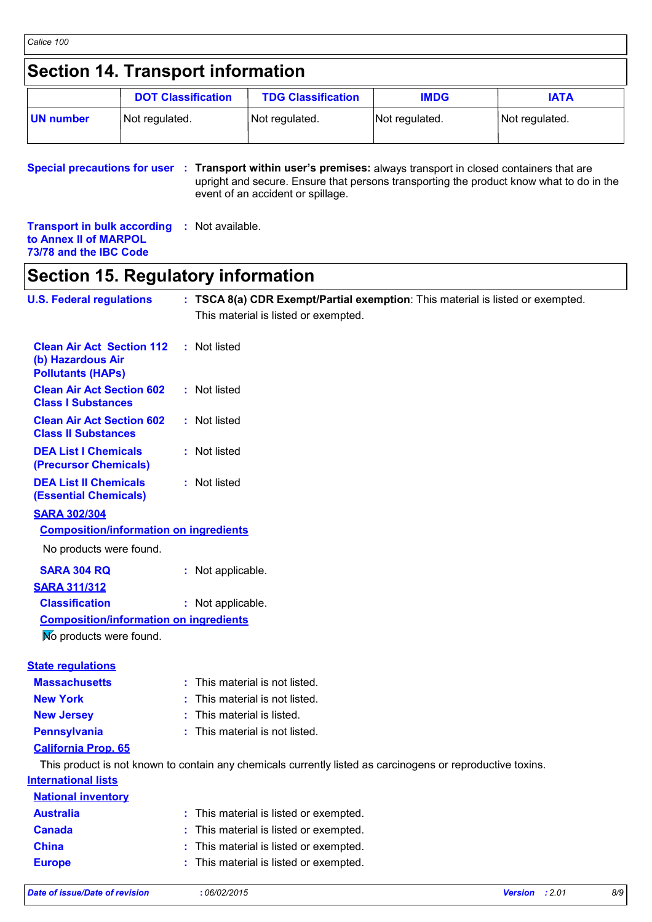### **Section 14. Transport information**

|           | <b>DOT Classification</b> | <b>TDG Classification</b> | <b>IMDG</b>    | IATA           |
|-----------|---------------------------|---------------------------|----------------|----------------|
| UN number | Not regulated.            | Not regulated.            | Not regulated. | Not regulated. |

**Special precautions for user** : Transport within user's premises: always transport in closed containers that are upright and secure. Ensure that persons transporting the product know what to do in the event of an accident or spillage.

**Transport in bulk according :** Not available. **to Annex II of MARPOL 73/78 and the IBC Code**

### **Section 15. Regulatory information**

| <b>U.S. Federal regulations</b>                                                   | : TSCA 8(a) CDR Exempt/Partial exemption: This material is listed or exempted.                             |
|-----------------------------------------------------------------------------------|------------------------------------------------------------------------------------------------------------|
|                                                                                   | This material is listed or exempted.                                                                       |
| <b>Clean Air Act Section 112</b><br>(b) Hazardous Air<br><b>Pollutants (HAPs)</b> | : Not listed                                                                                               |
| <b>Clean Air Act Section 602</b><br><b>Class I Substances</b>                     | : Not listed                                                                                               |
| <b>Clean Air Act Section 602</b><br><b>Class II Substances</b>                    | : Not listed                                                                                               |
| <b>DEA List I Chemicals</b><br>(Precursor Chemicals)                              | : Not listed                                                                                               |
| <b>DEA List II Chemicals</b><br><b>(Essential Chemicals)</b>                      | : Not listed                                                                                               |
| <b>SARA 302/304</b>                                                               |                                                                                                            |
| <b>Composition/information on ingredients</b>                                     |                                                                                                            |
| No products were found.                                                           |                                                                                                            |
| <b>SARA 304 RQ</b>                                                                | : Not applicable.                                                                                          |
| <b>SARA 311/312</b>                                                               |                                                                                                            |
| <b>Classification</b>                                                             | : Not applicable.                                                                                          |
| <b>Composition/information on ingredients</b>                                     |                                                                                                            |
| No products were found.                                                           |                                                                                                            |
| <b>State regulations</b>                                                          |                                                                                                            |
| <b>Massachusetts</b>                                                              | : This material is not listed.                                                                             |
| <b>New York</b>                                                                   | : This material is not listed.                                                                             |
| <b>New Jersey</b>                                                                 | : This material is listed.                                                                                 |
| <b>Pennsylvania</b>                                                               | : This material is not listed.                                                                             |
| <b>California Prop. 65</b>                                                        |                                                                                                            |
|                                                                                   | This product is not known to contain any chemicals currently listed as carcinogens or reproductive toxins. |
| <b>International lists</b>                                                        |                                                                                                            |
| <b>National inventory</b>                                                         |                                                                                                            |
| <b>Australia</b>                                                                  | This material is listed or exempted.                                                                       |
| <b>Canada</b>                                                                     | This material is listed or exempted.                                                                       |
| <b>China</b>                                                                      | This material is listed or exempted.                                                                       |
| <b>Europe</b>                                                                     | : This material is listed or exempted.                                                                     |

*Date of issue/Date of revision* **:** *06/02/2015 Version : 2.01 8/9*